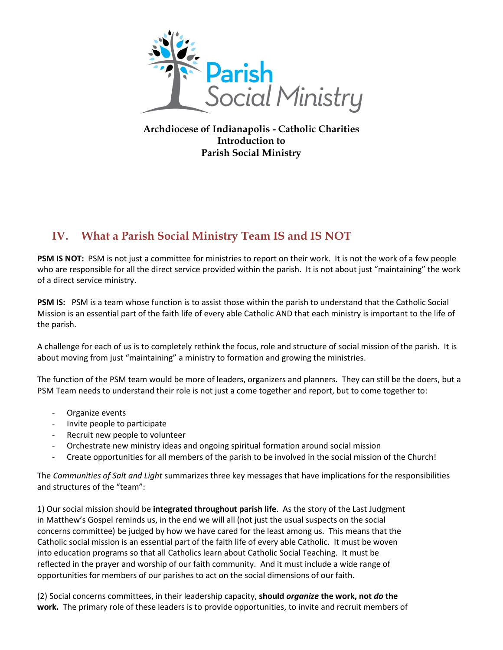

**Archdiocese of Indianapolis - Catholic Charities Introduction to Parish Social Ministry**

## **IV. What a Parish Social Ministry Team IS and IS NOT**

**PSM IS NOT:** PSM is not just a committee for ministries to report on their work. It is not the work of a few people who are responsible for all the direct service provided within the parish. It is not about just "maintaining" the work of a direct service ministry.

**PSM IS:** PSM is a team whose function is to assist those within the parish to understand that the Catholic Social Mission is an essential part of the faith life of every able Catholic AND that each ministry is important to the life of the parish.

A challenge for each of us is to completely rethink the focus, role and structure of social mission of the parish. It is about moving from just "maintaining" a ministry to formation and growing the ministries.

The function of the PSM team would be more of leaders, organizers and planners. They can still be the doers, but a PSM Team needs to understand their role is not just a come together and report, but to come together to:

- Organize events
- Invite people to participate
- Recruit new people to volunteer
- Orchestrate new ministry ideas and ongoing spiritual formation around social mission
- Create opportunities for all members of the parish to be involved in the social mission of the Church!

The *Communities of Salt and Light* summarizes three key messages that have implications for the responsibilities and structures of the "team":

1) Our social mission should be **integrated throughout parish life**. As the story of the Last Judgment in Matthew's Gospel reminds us, in the end we will all (not just the usual suspects on the social concerns committee) be judged by how we have cared for the least among us. This means that the Catholic social mission is an essential part of the faith life of every able Catholic. It must be woven into education programs so that all Catholics learn about Catholic Social Teaching. It must be reflected in the prayer and worship of our faith community. And it must include a wide range of opportunities for members of our parishes to act on the social dimensions of our faith.

(2) Social concerns committees, in their leadership capacity, **should** *organize* **the work, not** *do* **the work.** The primary role of these leaders is to provide opportunities, to invite and recruit members of